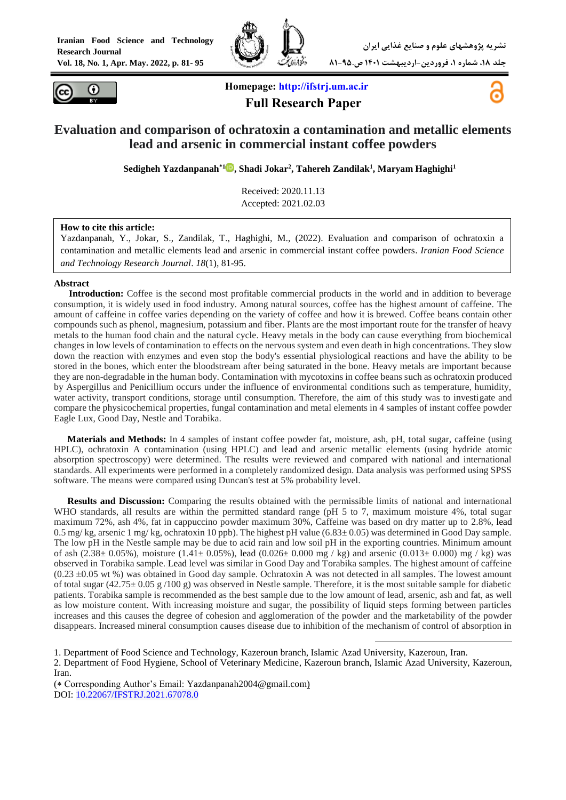



**Homepage: [http://ifstrj.um.ac.ir](http://ifstrj.um.ac.ir/) Full Research Paper**



## **Evaluation and comparison of ochratoxin a contamination and metallic elements lead and arsenic in commercial instant coffee powders**

**Sedigheh Yazdanpanah\*[1](https://orcid.org/0000-0001-9354-133X) , Shadi Jokar<sup>2</sup> , Tahereh Zandilak<sup>1</sup> , Maryam Haghighi<sup>1</sup>**

Received: 2020.11.13 Accepted: 2021.02.03

#### **How to cite this article:**

Yazdanpanah, Y., Jokar, S., Zandilak, T., Haghighi, M., (2022). Evaluation and comparison of ochratoxin a contamination and metallic elements lead and arsenic in commercial instant coffee powders. *Iranian Food Science and Technology Research Journal*. *18*(1), 81-95.

#### **Abstract**

**<sup>1</sup>Introduction:** Coffee is the second most profitable commercial products in the world and in addition to beverage consumption, it is widely used in food industry. Among natural sources, coffee has the highest amount of caffeine. The amount of caffeine in coffee varies depending on the variety of coffee and how it is brewed. Coffee beans contain other compounds such as phenol, magnesium, potassium and fiber. Plants are the most important route for the transfer of heavy metals to the human food chain and the natural cycle. Heavy metals in the body can cause everything from biochemical changes in low levels of contamination to effects on the nervous system and even death in high concentrations. They slow down the reaction with enzymes and even stop the body's essential physiological reactions and have the ability to be stored in the bones, which enter the bloodstream after being saturated in the bone. Heavy metals are important because they are non-degradable in the human body. Contamination with mycotoxins in coffee beans such as ochratoxin produced by Aspergillus and Penicillium occurs under the influence of environmental conditions such as temperature, humidity, water activity, transport conditions, storage until consumption. Therefore, the aim of this study was to investigate and compare the physicochemical properties, fungal contamination and metal elements in 4 samples of instant coffee powder Eagle Lux, Good Day, Nestle and Torabika.

**Materials and Methods:** In 4 samples of instant coffee powder fat, moisture, ash, pH, total sugar, caffeine (using HPLC), ochratoxin A contamination (using HPLC) and lead and arsenic metallic elements (using hydride atomic absorption spectroscopy) were determined. The results were reviewed and compared with national and international standards. All experiments were performed in a completely randomized design. Data analysis was performed using SPSS software. The means were compared using Duncan's test at 5% probability level.

**Results and Discussion:** Comparing the results obtained with the permissible limits of national and international WHO standards, all results are within the permitted standard range (pH 5 to 7, maximum moisture 4%, total sugar maximum 72%, ash 4%, fat in cappuccino powder maximum 30%, Caffeine was based on dry matter up to 2.8%, lead 0.5 mg/ kg, arsenic 1 mg/ kg, ochratoxin 10 ppb). The highest pH value  $(6.83 \pm 0.05)$  was determined in Good Day sample. The low pH in the Nestle sample may be due to acid rain and low soil pH in the exporting countries. Minimum amount of ash (2.38 $\pm$  0.05%), moisture (1.41 $\pm$  0.05%), lead (0.026 $\pm$  0.000 mg / kg) and arsenic (0.013 $\pm$  0.000) mg / kg) was observed in Torabika sample. Lead level was similar in Good Day and Torabika samples. The highest amount of caffeine  $(0.23 \pm 0.05 \text{ wt } \%)$  was obtained in Good day sample. Ochratoxin A was not detected in all samples. The lowest amount of total sugar  $(42.75\pm 0.05 \text{ g }/100 \text{ g})$  was observed in Nestle sample. Therefore, it is the most suitable sample for diabetic patients. Torabika sample is recommended as the best sample due to the low amount of lead, arsenic, ash and fat, as well as low moisture content. With increasing moisture and sugar, the possibility of liquid steps forming between particles increases and this causes the degree of cohesion and agglomeration of the powder and the marketability of the powder disappears. Increased mineral consumption causes disease due to inhibition of the mechanism of control of absorption in

 $\overline{\phantom{a}}$ 1. Department of Food Science and Technology, Kazeroun branch, Islamic Azad University, Kazeroun, Iran.

2. Department of Food Hygiene, School of Veterinary Medicine, Kazeroun branch, Islamic Azad University, Kazeroun, Iran.

(\* Corresponding Author's Email: Yazdanpanah2004@gmail.com) DOI: [10.22067/IFSTRJ.2021.67078.0](https://dx.doi.org/10.22067/ifstrj.2021.67078.0)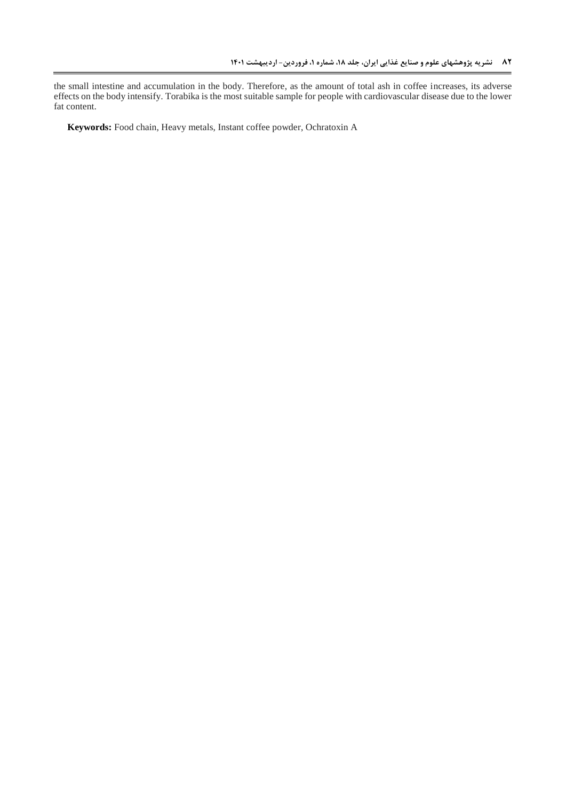the small intestine and accumulation in the body. Therefore, as the amount of total ash in coffee increases, its adverse effects on the body intensify. Torabika is the most suitable sample for people with cardiovascular disease due to the lower fat content.

**Keywords:** Food chain, Heavy metals, Instant coffee powder, Ochratoxin A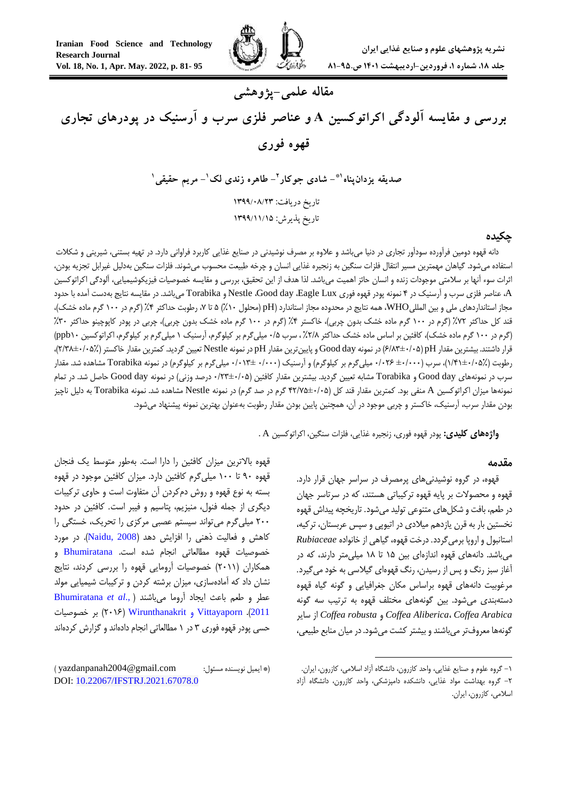

# **مقاله علمی-پژوهشی**

**بررسی و مقایسه آلودگی اکراتوکسین <sup>A</sup> و عناصر فلزی سرب و آرسنیک در پودرهای تجاری قهوه فوری**

> **- مریم حقیقی<sup>1</sup> - طاهره زندی لک<sup>1</sup> 2 - شادی جوکار \*1 صدیقه یزدانپناه** تاریخ دریافت: ۱۳۹۹/۰۸/۲۳ تاریخ پذیرش: 9211/99/91

#### **چکیده**

دانه قهوه دومین فرآورده سودآور تجاري در دنیا میباشد و عالوه بر مصرف نوشیدنی در صنایع غذایی کاربرد فراوانی دارد. در تهیه بستنی، شیرینی و شکالت استفاده میشود. گیاهان مهمترین مسیر انتقال فلزات سنگین به زنجیره غذایی انسان و چرخه طبیعت محسوب میشوند. فلزات سنگین بهدلیل غیرابل تجزیه بودن، اثرات سوء آنها بر سالمتی موجودات زنده و انسان حائز اهمیت میباشد. لذا هدف از این تحقیق، بررسی و مقایسه خصوصیات فیزیکوشیمیایی، آلودگی اکراتوکسین A، عناصر فلزي سرب و آرسنیک در 4 نمونه پودر قهوه فوري Lux Eagle، day Good، Nestle و Torabika میباشد. در مقایسه نتایج بهدست آمده با حدود مجاز استانداردهاي ملي و بين الملليWHO، همه نتايج در محدوده مجاز استاندارد (pH (محلول ١٠٪) ۵ تا ٧، رطوبت حداکثر ۴٪ (گرم در ١٠٠ گرم ماده خشک)، قند کل حداکثر ۷۲٪ (گرم در ۱۰۰ گرم ماده خشک بدون چربی)، خاکستر ۴٪ (گرم در ۱۰۰ گرم ماده خشک بدون چربی)، چربی در پودر کاپوچینو حداکثر ۳۰٪ (گرم در ١٠٠ گرم ماده خشک)، کافئین بر اساس ماده خشک حداکثر ٢/٨٪، سرب ٠/۵ میلیگرم بر کیلوگرم بر کیلوگرم بر کیلوگرم، اکراتوکسین ١ppb١٠) قرار داشتند. بیشترین مقدار pH( 6/80±1/15 )در نمونه day Good و پایینترین مقدار pH در نمونه Nestle تعیین گردید. کمترین مقدار خاکستر )7/08±1/15%(، رطوبت )0/40±1/15%(، سرب )±1/111 1/176 میلیگرم بر کیلوگرم( و آرسنیک )1/111 1/100± میلیگرم بر کیلوگرم( در نمونه Torabika مشاهده شد. مقدار سرب در نمونههای Good day و Torabika مشابه تعیین گردید. بیشترین مقدار کافئین (۰۵+۱×۲۳+۰ درصد وزنی) در نمونه Good day حاصل شد. در تمام نمونهها میزان اکراتوکسین A منفی بود. کمترین مقدار قند کل )47/75±1/15 گرم در صد گرم( در نمونه Nestle مشاهده شد. نمونه Torabika به دلیل ناچیز بودن مقدار سرب، آرسنیک، خاکستر و چربی موجود در آن، همچنین پایین بودن مقدار رطوبت بهعنوان بهترین نمونه پیشنهاد میشود.

**واژههای کلیدی:** پودر قهوه فوري، زنجیره غذایی، فلزات سنگین، اکراتوکسین A .

#### **مقدمه**

قهوه، در گروه نوشیدنیهاي پرمصرف در سراسر جهان قرار دارد. قهوه و محصوالت بر پایه قهوه ترکیباتی هستند، که در سرتاسر جهان در طعم، بافت و شکلهاي متنوعی تولید میشود. تاریخچه پیداش قهوه نخستین بار به قرن یازدهم میالدي در اتیوپی و سپس عربستان، ترکیه، استانبول و اروپا برمیگردد. درخت قهوه، گیاهی از خانواده *Rubiaceae* میباشد. دانههاي قهوه اندازهاي بین 05 تا 08 میلیمتر دارند، که در آغاز سبز رنگ و پس از رسیدن، رنگ قهوهاي گیالسی به خود میگیرد. مرغوبیت دانههاي قهوه براساس مکان جغرافیایی و گونه گیاه قهوه دستهبندي میشود. بین گونههاي مختلف قهوه به ترتیب سه گونه سایر از *Coffea robusta* و *Coffea Aliberica*، *Coffea Arabica* گونهها معروفتر میباشند و بیشتر کشت میشود. در میان منابع طبیعی،

**.** 

قهوه باالترین میزان کافئین را دارا است. بهطور متوسط یک فنجان قهوه 01 تا 011 میلیگرم کافئین دارد. میزان کافئین موجود در قهوه بسته به نوع قهوه و روش دمکردن آن متفاوت است و حاوي ترکیبات دیگري از جمله فنول، منیزیم، پتاسیم و فیبر است. کافئین در حدود 711 میلیگرم میتواند سیستم عصبی مرکزي را تحریک، خستگی را کاهش و فعالیت ذهنی را افزایش دهد (Naidu, 2008). در مورد خصوصیات قهوه مطالعاتی انجام شده است. [Bhumiratana](#page-12-0) و همکاران )7100( خصوصیات آرومایی قهوه را بررسی کردند، نتایج نشان داد که آمادهسازي، میزان برشته کردن و ترکیبات شیمیایی مولد عطر و طعم باعث ایجاد آروما میباشند [\)](#page-12-0) .,*al et* [Bhumiratana](#page-12-0) [2011](#page-12-0)(. Vittayaporn و [Wirunthanakrit](#page-13-1)( 7106 )بر خصوصیات حسی پودر قهوه فوري 0 در 0 مطالعاتی انجام دادهاند و گزارش کردهاند

<sup>-0</sup> گروه علوم و صنایع غذایی، واحد کازرون، دانشگاه آزاد اسالمی، کازرون، ایران. -7 گروه بهداشت مواد غذایی، دانشکده دامپزشکی، واحد کازرون، دانشگاه آزاد اسالمی، کازرون، ایران.

<sup>)\*</sup> ایمیل نویسنده مسئول: com.gmail@2004yazdanpanah) DOI: [10.22067/IFSTRJ.2021.67078.0](https://dx.doi.org/10.22067/ifstrj.2021.67078.0)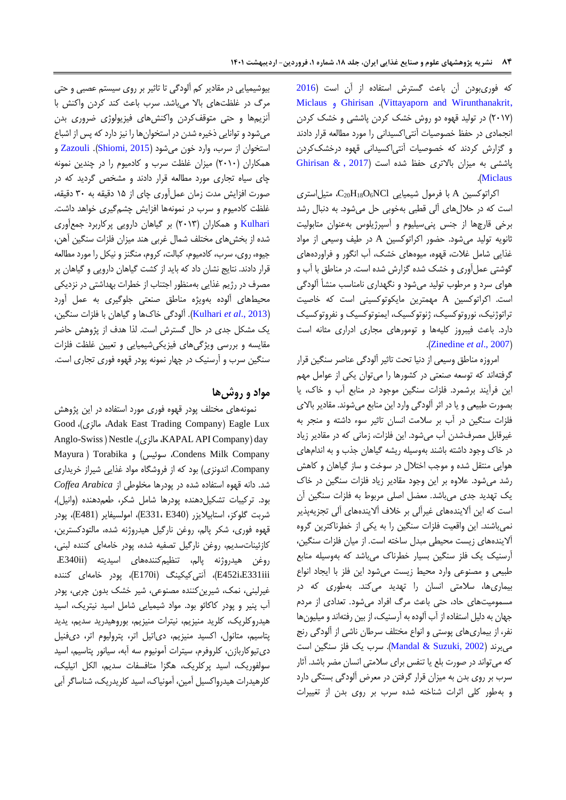که فوريبودن آن باعث گسترش استفاده از آن است )[2016](#page-13-1) Miclaus و [Ghirisan](#page-12-1) .)[Vittayaporn and](#page-13-1) Wirunthanakrit, )7107( در تولید قهوه دو روش خشک کردن پاششی و خشک کردن انجمادي در حفظ خصوصیات آنتیاکسیدانی را مورد مطالعه قرار دادند و گزارش کردند که خصوصیات آنتیاکسیدانی قهوه درخشککردن Ghirisan  $\&$  , [2017](#page-12-1)) بالاتری حفظ شده است (2017 , [& Ghirisan](#page-12-1) .)[Miclaus](#page-12-1)

اکراتوکسین A با فرمول شیمیایی C<sub>20</sub>H<sub>18</sub>O<sub>6</sub>NCl، متیل استری است که در حاللهاي آلی قطبی بهخوبی حل میشود. به دنبال رشد برخی قارچها از جنس پنیسیلیوم و آسپرژیلوس بهعنوان متابولیت ثانویه تولید میشود. حضور اکراتوکسین A در طیف وسیعی از مواد غذایی شامل غالت، قهوه، میوههاي خشک، آب انگور و فراوردههاي گوشتی عملآوري و خشک شده گزارش شده است. در مناطق با آب و هواي سرد و مرطوب تولید میشود و نگهداري نامناسب منشأ آلودگی است. اکراتوکسین A مهمترین مایکوتوکسینی است که خاصیت تراتوژنیک، نوروتوکسیک، ژنوتوکسیک، ایمنوتوکسیک و نفروتوکسیک دارد. باعث فیبروز کلیهها و تومورهاي مجاري ادراري مثانه است .)[Zinedine](#page-14-0) *et al*., 2007(

امروزه مناطق وسیعی از دنیا تحت تاثیر آلودگی عناصر سنگین قرار گرفتهاند که توسعه صنعتی در کشورها را میتوان یکی از عوامل مهم این فرآیند برشمرد. فلزات سنگین موجود در منابع آب و خاک، یا بصورت طبیعی و یا در اثر آلودگی وارد این منابع میشوند. مقادیر باالي فلزات سنگین در آب بر سالمت انسان تاثیر سوء داشته و منجر به غیرقابل مصرفشدن آب میشود. این فلزات، زمانی که در مقادیر زیاد در خاک وجود داشته باشند بهوسیله ریشه گیاهان جذب و به اندامهاي هوایی منتقل شده و موجب اختالل در سوخت و ساز گیاهان و کاهش رشد میشود. عالوه بر این وجود مقادیر زیاد فلزات سنگین در خاک یک تهدید جدي میباشد. معضل اصلی مربوط به فلزات سنگین آن است که این آالیندههاي غیرآلی بر خالف آالیندههاي آلی تجزیهپذیر نمیباشند. این واقعیت فلزات سنگین را به یکی از خطرناکترین گروه آالیندههاي زیست محیطی مبدل ساخته است. از میان فلزات سنگین، آرسنیک یک فلز سنگین بسیار خطرناک میباشد که بهوسیله منابع طبیعی و مصنوعی وارد محیط زیست میشود این فلز با ایجاد انواع بیماريها، سالمتی انسان را تهدید میکند. بهطوري که در مسمومیتهاي حاد، حتی باعث مرگ افراد میشود. تعدادي از مردم جهان به دلیل استفاده از آب آلوده به آرسنیک، از بین رفتهاند و میلیونها نفر، از بیماريهاي پوستی و انواع مختلف سرطان ناشی از آلودگی رنج میبرند )[2002 ,Suzuki &](#page-13-2) Mandal). سرب یک فلز سنگین است که میتواند در صورت بلع یا تنفس براي سالمتی انسان مضر باشد. آثار سرب بر روي بدن به میزان قرار گرفتن در معرض آلودگی بستگی دارد و بهطور کلی اثرات شناخته شده سرب بر روي بدن از تغییرات

بیوشیمیایی در مقادیر کم آلودگی تا تاثیر بر روي سیستم عصبی و حتی مرگ در غلظتهاي باال میباشد. سرب باعث کند کردن واکنش با آنزیمها و حتی متوقفکردن واکنشهاي فیزیولوژي ضروري بدن میشود و توانایی ذخیره شدن در استخوانها را نیز دارد که پس از اشباع استخوان از سرب، وارد خون میشود )[2015 ,Shiomi](#page-13-3)). [Zazouli](#page-14-1) و همکاران )7101( میزان غلظت سرب و کادمیوم را در چندین نمونه چاي سیاه تجاري مورد مطالعه قرار دادند و مشخص گردید که در صورت افزایش مدت زمان عملآوري چاي از 05 دقیقه به 01 دقیقه، غلظت کادمیوم و سرب در نمونهها افزایش چشمگیري خواهد داشت. [Kulhari](#page-12-2) و همکاران )7100( بر گیاهان دارویی پرکاربرد جمعآوري شده از بخشهاي مختلف شمال غربی هند میزان فلزات سنگین آهن، جیوه، روي، سرب، کادمیوم، کبالت، کروم، منگنز و نیکل را مورد مطالعه قرار دادند. نتایج نشان داد که باید از کشت گیاهان دارویی و گیاهان پر مصرف در رژیم غذایی بهمنظور اجتناب از خطرات بهداشتی در نزدیکی محیطهاي آلوده بهویژه مناطق صنعتی جلوگیري به عمل آورد )2013 .,*al et* [Kulhari](#page-12-2)). آلودگی خاکها و گیاهان با فلزات سنگین، یک مشکل جدي در حال گسترش است. لذا هدف از پژوهش حاضر مقایسه و بررسی ویژگیهاي فیزیکیشیمیایی و تعیین غلظت فلزات سنگین سرب و آرسنیک در چهار نمونه پودر قهوه فوري تجاري است.

## **مواد و روشها**

نمونههاي مختلف پودر قهوه فوري مورد استفاده در این پژوهش Good ،)مالزي ،Adak East Trading Company( Eagle Lux Anglo-Swiss ( Nestle ،)مالزي ،KAPAL API Company( day Mayura ) Torabika وf سوئیس ،Condens Milk Company Company، اندونزي( بود که از فروشگاه مواد غذایی شیراز خریداري شد. دانه قهوه استفاده شده در پودرها مخلوطی از *Arabica Coffea* بود. ترکیبات تشکیلدهنده پودرها شامل شکر، طعمدهنده )وانیل(، شربت گلوکز، استابیالیزر )340E 331،E)، امولسیفایر )481E)، پودر قهوه فوري، شکر پالم، روغن نارگیل هیدروژنه شده، مالتودکسترین، کازئیناتسدیم، روغن نارگیل تصفیه شده، پودر خامهاي کننده لبنی، روغن هیدروژنه پالم، تنظیمکنندههاي اسیدیته )ii340E، کننده خامهاي پودر ،(E170i( آنتیکیکینگ ،(E452i،E331iii غیرلبنی، نمک، شیرینکننده مصنوعی، شیر خشک بدون چربی، پودر آب پنیر و پودر کاکائو بود. مواد شیمیایی شامل اسید نیتریک، اسید هیدروکلریک، کلرید منیزیم، نیترات منیزیم، بوروهیدرید سدیم، یدید پتاسیم، متانول، اکسید منیزیم، دياتیل اتر، پترولیوم اتر، ديفنیل ديتیوکاربازن، کلروفرم، سیترات آمونیوم سه آبه، سیانور پتاسیم، اسید سولفوریک، اسید پرکلریک، هگزا متافسفات سدیم، الکل اتیلیک، کلرهیدرات هیدرواکسیل آمین، آمونیاک، اسید کلریدریک، شناساگر آبی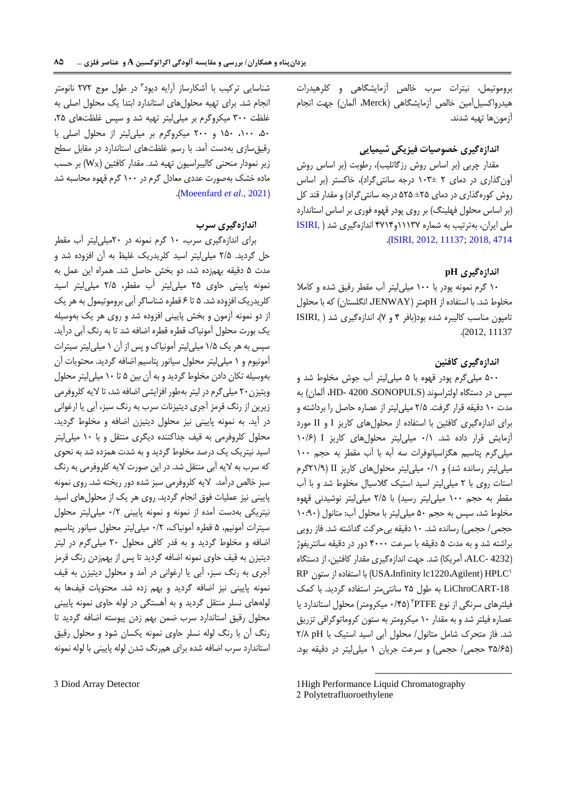بروموتیمل، نیترات سرب خالص آزمایشگاهی و کلرهیدرات هیدرواکسیلآمین خالص آزمایشگاهی )Merck، آلمان( جهت انجام آزمونها تهیه شدند.

## **اندازهگیری خصوصیات فیزیکی شیمیایی**

مقدار چربی (بر اساس روش رزگاتلیب)، رطوبت (بر اساس روش آونگذاري در دماي 7 010± درجه سانتیگراد(، خاکستر )بر اساس روش کورهگذاري در دماي ±75 575 درجه سانتیگراد( و مقدار قند کل )بر اساس محلول فهلینگ( بر روي پودر قهوه فوري بر اساس استاندارد ملی ایران، بهترتیب به شماره 00007و4704 اندازهگیري شد ) [,ISIRI](#page-12-3) .)[ISIRI, 2012, 11137;](#page-12-3) [2018, 4714](#page-12-3)

### **اندازهگیری pH**

01 گرم نمونه پودر با 011 میلیلیتر آب مقطر رقیق شده و کامال مخلوط شد. با استفاده از pHمتر )JENWAY، انگلستان( که با محلول تامپون مناسب کالیبره شده بود)بافر 4 و 7(، اندازهگیري شد ) ,ISIRI .)2012, 11137

#### **اندازهگیری کافئین**

511 میلیگرم پودر قهوه با 5 میلیلیتر آب جوش مخلوط شد و سپس در دستگاه اولتراسوند )SONOPULS، 4200 -HD، آلمان( به مدت 01 دقیقه قرار گرفت. 7/5 میلیلیتر از عصاره حاصل را برداشته و براي اندازهگیري کافئین با استفاده از محلولهاي کاریز I و II مورد آزمایش قرار داده شد. 1/0 میلیلیتر محلولهاي کاریز I( 01/6 میلیگرم پتاسیم هگزاسیانوفرات سه آبه با آب مقطر به حجم 011 میلیلیتر رسانده شد( و 1/0 میلیلیتر محلولهاي کاریز II( 70/0گرم استات روي با 7 میلیلیتر اسید استیک گالسیال مخلوط شد و با آب مقطر به حجم ۱۰۰ میلی لیتر رسید) با ۲/۵ میلی لیتر نوشیدنی قهوه مخلوط شد، سپس به حجم 51 میلیلیتر با محلول آب: متانول )01:01 حجمی/ حجمی) رسانده شد. ۱۰ دقیقه بی حرکت گداشته شد. فاز رویی براشته شد و به مدت 5 دقیقه با سرعت 4111 دور در دقیقه سانتریفوژ )4232 -ALC، آمریکا( شد. جهت اندازهگیري مقدار کافئین، از دستگاه HPLC<sup>0</sup> RP ستون از استفاده با( USA،Infinity lc1220،Agilent( -18LiChroCART به طول 75 سانتیمتر استفاده گردید. با کمک 7 فیلترهاي سرنگی از نوع PTFE )1/45 میکرومتر( محلول استاندارد یا عصاره فیلتر شد و به مقدار 01 میکرومتر به ستون کروماتوگرافی تزریق شد. فاز متحرک شامل متانول/ محلول آبی اسید استیک با pH 7/8 )05/65 حجمی/ حجمی( و سرعت جریان 0 میلیلیتر در دقیقه بود.

1

0 شناسایی ترکیب با آشکارساز آرایه دیود در طول موج 777 نانومتر انجام شد. براي تهیه محلولهاي استاندارد ابتدا یک محلول اصلی به غلظت ٣٠٠ میکروگرم بر میلیلیتر تهیه شد و سپس غلظتهای ٢۵، ،51 ،011 051 و 711 میکروگرم بر میلیلیتر از محلول اصلی با رقیقسازي بهدست آمد. با رسم غلظتهاي استاندارد در مقابل سطح زیر نمودار منحنی کالیبراسیون تهیه شد. مقدار کافئین (Wx) بر حسب ماده خشک بهصورت عددي معادل گرم در 011 گرم قهوه محاسبه شد .([Moeenfard](#page-13-4) *et al.*, 2021)

### **اندازهگیری سرب**

براي اندازهگیري سرب، 01 گرم نمونه در 71میلیلیتر آب مقطر حل گردید. 7/5 میلیلیتر اسید کلریدریک غلیظ به آن افزوده شد و مدت 5 دقیقه بهمزده شد، دو بخش حاصل شد. همراه این عمل به نمونه پایینی حاوي 75 میلیلیتر آب مقطر، 7/5 میلیلیتر اسید کلریدریک افزوده شد. ۵ تا ۶ قطره شناساگر آبی بروموتیمول به هر یک از دو نمونه آزمون و بخش پایینی افزوده شد و روي هر یک بهوسیله یک بورت محلول آمونیاک قطره قطره اضافه شد تا به رنگ آبی درآید. سپس به هر یک 0/5 میلیلیتر آمونیاک و پس از آن 0 میلیلیتر سیترات آمونیوم و 0 میلیلیتر محلول سیانور پتاسیم اضافه گردید. محتویات آن بهوسیله تکان دادن مخلوط گردیدو به آن بین 5 تا 01 میلیلیتر محلول ویتیزن71 میلیگرم در لیتر بهطور افزایشی اضافه شد، تا الیه کلروفرمی زیرین از رنگ قرمز آجري دیتیزنات سرب به رنگ سبز، آبی یا ارغوانی در آید. به نمونه پایینی نیز محلول دیتیزن اضافه و مخلوط گردید. محلول کلروفرمی به قیف جداکننده دیگري منتقل و با 01 میلیلیتر اسید نیتریک یک درصد مخلوط گردید و به شدت همزده شد به نحوي که سرب به الیه آبی منتقل شد. در این صورت الیه کلروفرمی به رنگ سبز خالص درآمد. الیه کلروفرمی سبز شده دور ریخته شد. روي نمونه پایینی نیز عملیات فوق انجام گردید. روي هر یک از محلولهاي اسید نیتریکی بهدست آمده از نمونه و نمونه پایینی 1/7 میلیلیتر محلول سیترات آمونیم، 5 قطره آمونیاک، 1/7 میلیلیتر محلول سیانور پتاسیم اضافه و مخلوط گردید و به قدر کافی محلول 71 میلیگرم در لیتر دیتیزن به قیف حاوي نمونه اضافه گردید تا پس از بهمزدن رنگ قرمز آجري به رنگ سبز، آبی یا ارغوانی در آمد و محلول دیتیزن به قیف نمونه پایینی نیز اضافه گردید و بهم زده شد. محتویات قیفها به لولههاي نسلر منتقل گردید و به آهستگی در لوله حاوي نمونه پایینی محلول رقیق استاندارد سرب ضمن بهم زدن پیوسته اضافه گردید تا رنگ آن با رنگ لوله نسلر حاوي نمونه یکسان شود و محلول رقیق استاندارد سرب اضافه شده براي همرنگ شدن لوله پایینی با لوله نمونه

3 Diod Array Detector

<sup>1</sup>High Performance Liquid Chromatography 2 Polytetrafluoroethylene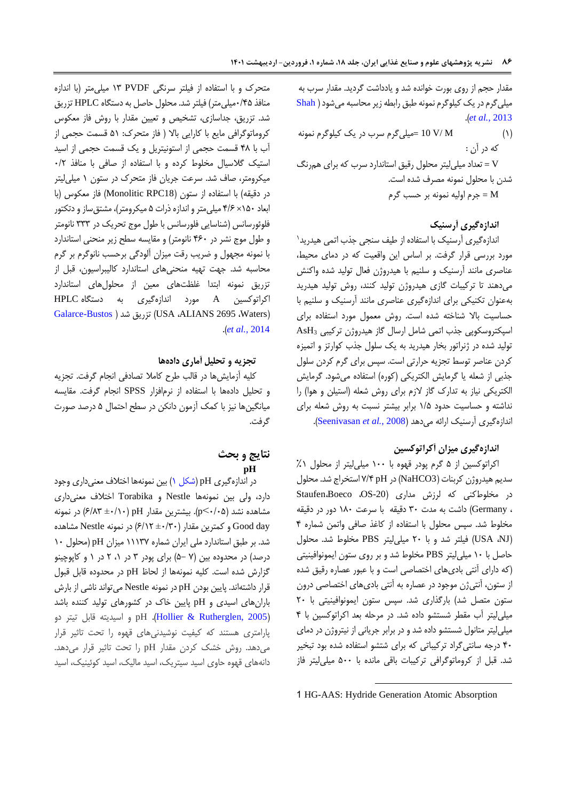مقدار حجم از روي بورت خوانده شد و یادداشت گردید. مقدار سرب به میلیگرمدر یک کیلوگرمنمونه طبق رابطهزیر محاسبه میشود [\)](#page-13-5) [Shah](#page-13-5) .)*[et al.,](#page-13-5)* 2013

)0( M /V 10= میلیگرم سرب در یک کیلوگرم نمونه که در آن : V = تعداد میلیلیتر محلول رقیق استاندارد سرب که براي همرنگ

شدن با محلول نمونه مصرف شده است. M = جرم اولیه نمونه بر حسب گرم

## **اندازهگیری آرسنیک**

0 اندازهگیري آرسنیک با استفاده از طیف سنجی جذب اتمی هیدرید مورد بررسی قرار گرفت. بر اساس این واقعیت که در دماي محیط، عناصري مانند آرسنیک و سلنیم با هیدروژن فعال تولید شده واکنش میدهند تا ترکیبات گازي هیدروژن تولید کنند، روش تولید هیدرید بهعنوان تکنیکی براي اندازهگیري عناصري مانند آرسنیک و سلنیم با حساسیت باال شناخته شده است. روش معمول مورد استفاده براي اسپکتروسکوپی جذب اتمی شامل ارسال گاز هیدروژن ترکیبی <sup>3</sup>AsH تولید شده در ژنراتور بخار هیدرید به یک سلول جذب کوارتز و اتمیزه کردن عناصر توسط تجزیه حرارتی است. سپس براي گرم کردن سلول جذبی از شعله یا گرمایش الکتریکی (کوره) استفاده میشود. گرمایش الکتریکی نیاز به تدارک گاز الزم براي روش شعله )استیلن و هوا( را نداشته و حساسیت حدود 0/5 برابر بیشتر نسبت به روش شعله براي اندازهگیري آرسنیک ارائه میدهد )2008 *.*,*al et* [Seenivasan](#page-13-6)).

### **اندازهگیری میزان آکراتوکسین**

اکراتوکسین از 5 گرم پودر قهوه با 011 میلیلیتر از محلول %0 سدیم هیدروژن کربنات )3NaHCO )در pH 7/4 استخراج شد. محلول در مخلوطکنی که لرزش مداری (OS-20 Staufen،Boeco، ، Germany )داشت به مدت 01 دقیقه با سرعت 081 دور در دقیقه مخلوط شد. سپس محلول با استفاده از کاغذ صافی واتمن شماره 4 )NJ، USA )فیلتر شد و با 71 میلیلیتر PBS مخلوط شد. محلول حاصل با 01 میلیلیتر PBS مخلوط شد و بر روي ستون ایمونوافینیتی )که داراي آنتی باديهاي اختصاصی است و با عبور عصاره رقیق شده از ستون، آنتیژن موجود در عصاره به آنتی باديهاي اختصاصی درون ستون متصل شد) بارگذاری شد. سپس ستون ایمونوافینیتی با ۲۰ میلیلیتر آب مقطر شستشو داده شد. در مرحله بعد اکراتوکسین با 4 میلیلیتر متانول شستشو داده شد و در برابر جریانی از نیتروژن در دماي 41 درجه سانتیگراد ترکیباتی که براي شتشو استفاده شده بود تبخیر شد. قبل از کروماتوگرافی ترکیبات باقی مانده با 511 میلیلیتر فاز

1 HG-AAS: Hydride Generation Atomic Absorption

**.** 

متحرک و با استفاده از فیلتر سرنگی PVDF 00 میلیمتر )با اندازه منافذ 1/45میلیمتر( فیلتر شد. محلول حاصل به دستگاه HPLC تزریق شد. تزریق، جداسازي، تشخیص و تعیین مقدار با روش فاز معکوس کروماتوگرافی مایع با کارایی باال ) فاز متحرک: 50 قسمت حجمی از آب با 48 قسمت حجمی از استونیتریل و یک قسمت حجمی از اسید استیک گالسیال مخلوط کرده و با استفاده از صافی با منافذ 1/7 میکرومتر، صاف شد. سرعت جریان فاز متحرک در ستون 0 میلیلیتر در دقیقه) با استفاده از ستون (Monolitic RPC18) فاز معکوس (با ابعاد 051× 4/6 میلیمتر و اندازه ذرات 5 میکرومتر(، مشتقساز و دتکتور فلوئورسانس )شناسایی فلورسانس با طول موج تحریک در 000 نانومتر و طول موج نشر در 461 نانومتر( و مقایسه سطح زیر منحنی استاندارد با نمونه مجهول و ضریب رقت میزان آلودگی برحسب نانوگرم بر گرم محاسبه شد. جهت تهیه منحنیهاي استاندارد کالیبراسیون، قبل از تزریق نمونه ابتدا غلظتهاي معین از محلولهاي استاندارد اکراتوکسین A مورد اندازهگیري به دستگاه HPLC [Galarce-Bustos](#page-12-4) [\(](#page-12-4) شد تزریق( USA ،ALIANS 2695 ،Waters( .)*et al.*[, 2014](#page-12-4)

#### **تجزیه و تحلیل آماری دادهها**

کلیه آزمایشها در قالب طرح کامال تصادفی انجام گرفت. تجزیه و تحلیل دادهها با استفاده از نرمافزار SPSS انجام گرفت. مقایسه میانگینها نیز با کمک آزمون دانکن در سطح احتمال 5 درصد صورت گرفت.

## **نتایج و بحث pH**

در اندازهگیري pH( [شکل 0\(](#page-6-0) بین نمونهها اختالف معنیداري وجود دارد، ولی بین نمونهها Nestle و Torabika اختالف معنیداري مشاهده نشد (p<-(10). بیشترین مقدار pH(  $\beta$ /۸۳ ±۰/۱۰ )در نمونه day Good و کمترین مقدار )±1/01 6/07( در نمونه Nestle مشاهده شد. بر طبق استاندارد ملی ایران شماره 00007 میزان pH( محلول 01 درصد) در محدوده بین (۷ –۵) براي پودر ۳ در ۰۱ ۲ در ۱ و کاپوچینو گزارش شده است. کلیه نمونهها از لحاظ pH در محدوده قابل قبول قرار داشتهاند. پایین بودن pH در نمونه Nestle میتواند ناشی از بارش بارانهاي اسیدي و pH پایین خاک در کشورهاي تولید کننده باشد )[2005 ,Rutherglen & Hollier](#page-12-5)). pH و اسیدیته قابل تیتر دو پارامتري هستند که کیفیت نوشیدنیهاي قهوه را تحت تاثیر قرار میدهد. روش خشک کردن مقدار pH را تحت تاثیر قرار میدهد. دانههاي قهوه حاوي اسید سیتریک، اسید مالیک، اسید کوئینیک، اسید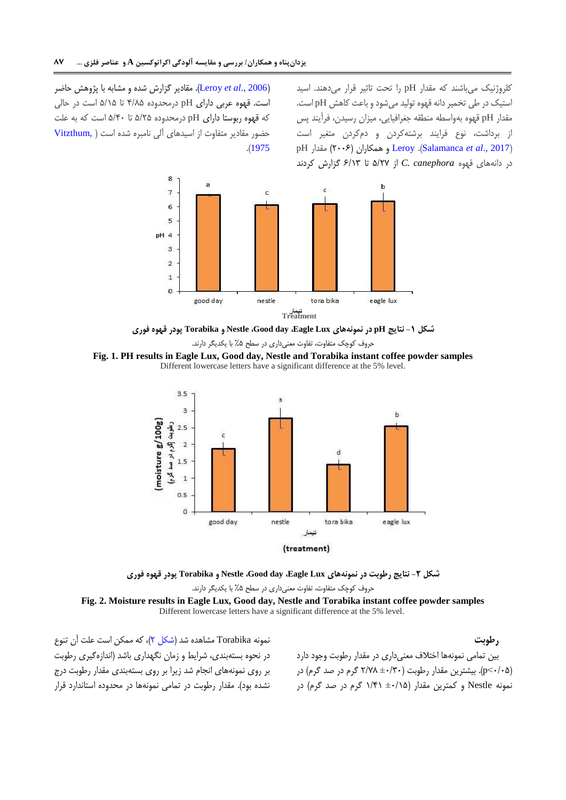کلروژنیک میباشند که مقدار pH را تحت تاثیر قرار میدهند. اسید استیک در طی تخمیر دانه قهوه تولید میشود و باعث کاهش pH است. مقدار pH قهوه بهواسطه منطقه جغرافیایی، میزان رسیدن، فرآیند پس از برداشت، نوع فرایند برشتهکردن و دمکردن متغیر است pH مقدار( 7116 )همکاران و [Leroy](#page-13-8) .)[Salamanca](#page-13-7) *et al*., 2017( در دانههاي قهوه *canephora .C* از 5/77 تا 6/00 گزارش کردند

)[2006 .,](#page-13-8)*al et* Leroy). مقادیر گزارش شده و مشابه با پژوهش حاضر است. قهوه عربی داراي pH درمحدوده 4/85 تا 5/05 است در حالی که قهوه ربوستا داراي pH درمحدوده 5/75 تا 5/41 است که به علت حضور مقادیر متفاوت از اسیدهاي آلی نامبره شده است [\)](#page-13-9) [,Vitzthum](#page-13-9) .)[1975](#page-13-9)



**شکل -1 نتایج pH در نمونههای Lux Eagle، day Good، Nestle و Torabika پودر قهوه فوری**

<span id="page-6-0"></span>حروف کوچک متفاوت، تفاوت معنیداري در سطح %5 با یکدیگر دارند.

**Fig. 1. PH results in Eagle Lux, Good day, Nestle and Torabika instant coffee powder samples** Different lowercase letters have a significant difference at the 5% level.



**شکل -2 نتایج رطوبت در نمونههای Lux Eagle، day Good، Nestle و Torabika پودر قهوه فوری** حروف کوچک متفاوت، تفاوت معنیداري در سطح %5 با یکدیگر دارند. **Fig. 2. Moisture results in Eagle Lux, Good day, Nestle and Torabika instant coffee powder samples** Different lowercase letters have a significant difference at the 5% level.

نمونه Torabika مشاهده شد [\)شکل 7\(](#page-6-1)، که ممکن است علت آن تنوع در نحوه بستهبندي، شرایط و زمان نگهداري باشد )اندازهگیري رطوبت بر روي نمونههاي انجام شد زیرا بر روي بستهبندي مقدار رطوبت درج نشده بود(. مقدار رطوبت در تمامی نمونهها در محدوده استاندارد قرار

<span id="page-6-1"></span>**رطوبت** بین تمامی نمونهها اختالف معنیداري در مقدار رطوبت وجود دارد )1/15<p). بیشترین مقدار رطوبت )±1/01 7/78 گرم در صد گرم( در نمونه Nestle و کمترین مقدار )±1/05 0/40 گرم در صد گرم( در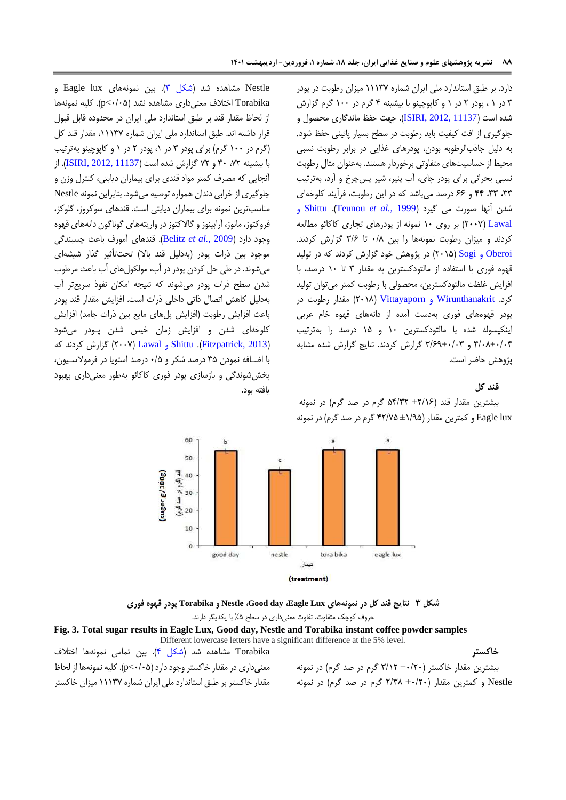دارد. بر طبق استاندارد ملی ایران شماره 00007 میزان رطوبت در پودر 0 در 0 ، پودر 7 در 0 و کاپوچینو با بیشینه 4 گرم در 011 گرم گزارش شده است )[11137 2012, ,ISIRI](#page-12-3)). جهت حفظ ماندگاري محصول و جلوگیري از افت کیفیت باید رطوبت در سطح بسیار پائینی حفظ شود. به دلیل جاذبالرطوبه بودن، پودرهاي غذایی در برابر رطوبت نسبی محیط از حساسیتهاي متفاوتی برخوردار هستند. بهعنوان مثال رطوبت نسبی بحرانی براي پودر چاي، آب پنیر، شیر پسچرخ و آرد، بهترتیب ،00 ،00 44 و 66 درصد میباشد که در این رطوبت، فرآیند کلوخهاي شدن آنها صورت می گیرد )1999 *.,al et* [Teunou](#page-13-10)). [Shittu](#page-13-11) و [Lawal](#page-13-11)( 7117 )بر روي 01 نمونه از پودرهاي تجاري کاکائو مطالعه کردند و میزان رطوبت نمونهها را بین 1/8 تا 0/6 گزارش کردند. [Oberoi](#page-13-12) و Sogi(۲۰۱۵) در پژوهش خود گزارش کردند که در تولید قهوه فوري با استفاده از مالتودکسترین به مقدار 0 تا 01 درصد، با افزایش غلظت مالتودکسترین، محصولی با رطوبت کمتر میتوان تولید کرد. [Wirunthanakrit](#page-13-1) و [Vittayaporn](#page-13-1)( 7108 )مقدار رطوبت در پودر قهوههاي فوري بهدست آمده از دانههاي قهوه خام عربی اینکپسوله شده با مالتودکسترین 01 و 05 درصد را بهترتیب 4/18±1/14 و 0/60±1/10 گزارش کردند. نتایج گزارش شده مشابه پژوهش حاضر است.

#### **قند کل**

بیشترین مقدار قند )±7/06 54/07 گرم در صد گرم( در نمونه lux Eagle و کمترین مقدار )±0/05 47/75 گرم در صد گرم( در نمونه



یافته بود.

Nestle مشاهده شد (شکل ۳). بین نمونههای Eagle lux و Torabika اختالف معنیداري مشاهده نشد )1/15<p). کلیه نمونهها از لحاظ مقدار قند بر طبق استاندارد ملی ایران در محدوده قابل قبول قرار داشته اند. طبق استاندارد ملی ایران شماره ،00007 مقدار قند کل )گرم در 011 گرم( براي پودر 0 در ،0 پودر 7 در 0 و کاپوچینو بهترتیب با بیشینه ،77 41 و 77 گزارش شده است )[11137 2012, ,ISIRI](#page-12-3)). از آنجایی که مصرف کمتر مواد قندي براي بیماران دیابتی، کنترل وزن و جلوگیري از خرابی دندان همواره توصیه میشود. بنابراین نمونه Nestle مناسبترین نمونه براي بیماران دیابتی است. قندهاي سوکروز، گلوکز، فروکتوز، مانوز، آرابینوز و گاالکتوز در واریتههاي گوناگون دانههاي قهوه وجود دارد )2009 *.,al et* [Belitz](#page-12-6)). قندهاي آمورف باعث چسبندگی موجود بین ذرات پودر )بهدلیل قند باال( تحتتأثیر گذار شیشهاي میشوند. در طی حل کردن پودر در آب، مولکولهاي آب باعث مرطوب شدن سطح ذرات پودر میشوند که نتیجه امکان نفوذ سریعتر آب بهدلیل کاهش اتصال ذاتی داخلی ذرات است. افزایش مقدار قند پودر باعث افزایش رطوبت )افزایش پلهاي مایع بین ذرات جامد( افزایش کلوخهاي شدن و افزایش زمان خیس شدن پـودر میشود )[2013 ,Fitzpatrick](#page-12-7)). Shittu و [Lawal](#page-13-11)( 7117 )گزارش کردند که با اضـافه نمودن 05 درصد شکر و 1/5 درصد استویا در فرموالسـیون، پخششوندگی و بازسازي پودر فوري کاکائو بهطور معنیداري بهبود

**شکل -3 نتایج قند کل در نمونههای Lux Eagle، day Good، Nestle و Torabika پودر قهوه فوری** حروف کوچک متفاوت، تفاوت معنیداري در سطح %5 با یکدیگر دارند.

**Fig. 3. Total sugar results in Eagle Lux, Good day, Nestle and Torabika instant coffee powder samples** Different lowercase letters have a significant difference at the 5% level. بیشترین مقدار خاکستر )±1/71 0/07 گرم در صد گرم( در نمونه Torabika مشاهده شد (شکل ۴). بین تمامی نمونهها اختلاف معنیداري در مقدار خاکستر وجود دارد )1/15<p). کلیه نمونهها از لحاظ

Nestle و کمترین مقدار (۲/۲۰± ۲/۳۸ گرم در صد گرم) در نمونه مقدار خاکستر بر طبق استاندارد ملی ایران شماره 00007 میزان خاکستر

#### <span id="page-7-0"></span>**خاکستر**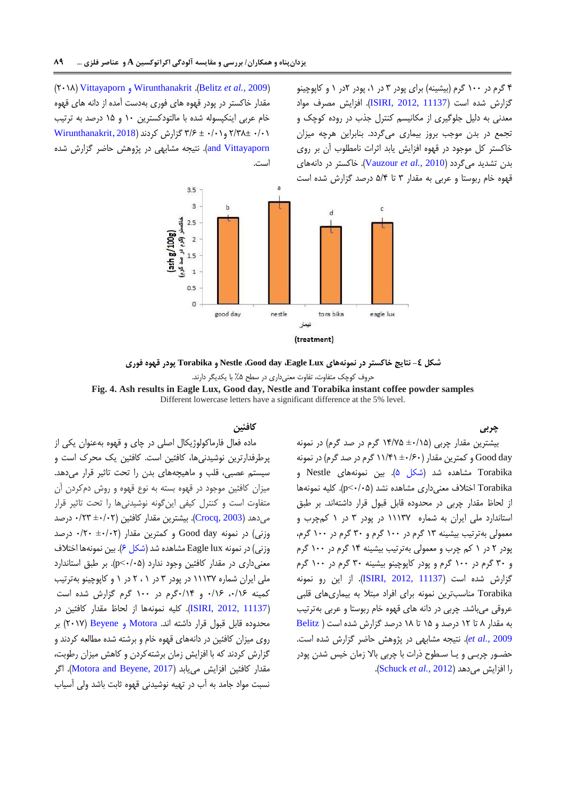۴ گرم در ۱۰۰ گرم (بیشینه) براي پودر ۳ در ۱، پودر ۲در ۱ و کاپوچینو گزارش شده است )[11137 2012, ,ISIRI](#page-12-3)). افزایش مصرف مواد معدنی به دلیل جلوگیري از مکانیسم کنترل جذب در روده کوچک و تجمع در بدن موجب بروز بیماري میگردد. بنابراین هرچه میزان خاکستر کل موجود در قهوه افزایش یابد اثرات نامطلوب آن بر روي بدن تشدید میگردد )2010 *.,al et* [Vauzour](#page-13-13)). خاکستر در دانههاي قهوه خام ربوستا و عربی به مقدار 0 تا 5/4 درصد گزارش شده است

 )7108( [Vittayaporn](#page-13-1) و [Wirunthanakrit](#page-13-1) .)[Belitz](#page-12-6) *et al.,* 2009( مقدار خاکستر در پودر قهوه هاي فوري بهدست آمده از دانه هاي قهوه خام عربی اینکپسوله شده با مالتودکسترین 01 و 05 درصد به ترتیب 1/10 7/08± و1/10 ± 0/6 گزارش کردند)[2018](#page-13-1) , [Wirunthanakrit](#page-13-1) [Vittayaporn and](#page-13-1)). نتیجه مشابهی در پژوهش حاضر گزارش شده است.



**شکل -4 نتایج خاکستر در نمونههای Lux Eagle، day Good، Nestle و Torabika پودر قهوه فوری** حروف کوچک متفاوت، تفاوت معنیداري در سطح %5 با یکدیگر دارند.

**Fig. 4. Ash results in Eagle Lux, Good day, Nestle and Torabika instant coffee powder samples** Different lowercase letters have a significant difference at the 5% level.

<span id="page-8-0"></span>**چربی**

## بیشترین مقدار چربی )±1/05 04/75 گرم در صد گرم( در نمونه day Good و کمترین مقدار )±1/61 00/40 گرم در صد گرم( در نمونه Torabika مشاهده شد (شکل ۵). بین نمونههای Nestle و Torabika اختلاف معنی داری مشاهده نشد (p<٠/٠۵). کلیه نمونهها از لحاظ مقدار چربی در محدوده قابل قبول قرار داشتهاند. بر طبق استاندارد ملی ایران به شماره 00007 در پودر 0 در 0 کمچرب و معمولی بهترتیب بیشینه 00 گرم در 011 گرم و 01 گرم در 011 گرم، پودر 7 در 0 کم چرب و معمولی بهترتیب بیشینه 04 گرم در 011 گرم و 01 گرم در 011 گرم و پودر کاپوچینو بیشینه 01 گرم در 011 گرم گزارش شده است )[11137 2012, ,ISIRI](#page-12-3)). از این رو نمونه Torabika مناسبترین نمونه براي افراد مبتال به بیماريهاي قلبی عروقی میباشد. چربی در دانه هاي قهوه خام ربوستا و عربی بهترتیب به مقدار 8 تا 07 درصد و 05 تا 08 درصد گزارش شده است ) [Belitz](#page-12-6) 2009 *[.,al et](#page-12-6)*). نتیجه مشابهی در پژوهش حاضر گزارش شده است. حضـور چربـی و یـا سـطوح ذرات با چربی باال زمان خیس شدن پودر را افزایش میدهد )2012 *.,al et* [Schuck](#page-13-14)).

## **کافئین**

ماده فعال فارماکولوژیکال اصلی در چاي و قهوه بهعنوان یکی از پرطرفدارترین نوشیدنیها، کافئین است. کافئین یک محرک است و سیستم عصبی، قلب و ماهیچههاي بدن را تحت تاثیر قرار میدهد. میزان کافئین موجود در قهوه بسته به نوع قهوه و روش دمکردن آن متفاوت است و کنترل کیفی اینگونه نوشیدنیها را تحت تاثیر قرار میدهد ([2003 ,Crocq](#page-12-8)). بیشترین مقدار کافئین (۲۰۲ $+1$ ۰ درصد وزنی) در نمونه Good day و کمترین مقدار (1+1+± 17/• درصد وزنی) در نمونه Eagle lux مشاهده شد (شکل ۶). بین نمونهها اختلاف معنیداري در مقدار کافئین وجود ندارد )1/15<p). بر طبق استاندارد ملی ایران شماره 00007 در پودر 0 در 0 ، 7 در 0 و کاپوچینو بهترتیب کمینه ۱/۱۶، ۱۶/۰ و ۱۴/۱۴گرم در ۱۰۰ گرم گزارش شده است )[11137 2012, ,ISIRI](#page-12-3)). کلیه نمونهها از لحاظ مقدار کافئین در محدوده قابل قبول قرار داشته اند. Motora و [Beyene](#page-13-15)( 7107 )بر روي میزان کافئین در دانههاي قهوه خام و برشته شده مطالعه کردند و گزارش کردند که با افزایش زمان برشتهکردن و کاهش میزان رطوبت، مقدار کافئین افزایش می یابد (Motora and Beyene, 2017). اگر نسبت مواد جامد به آب در تهیه نوشیدنی قهوه ثابت باشد ولی آسیاب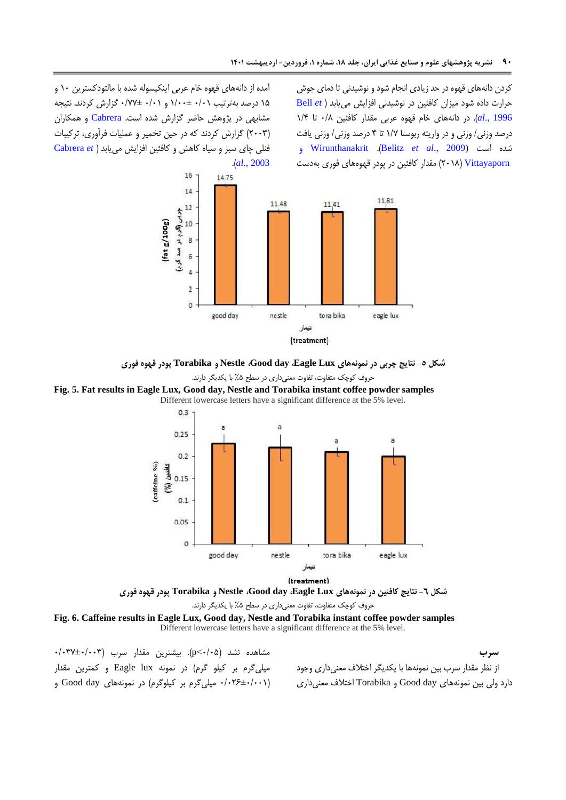کردن دانههاي قهوه در حد زیادي انجام شود و نوشیدنی تا دماي جوش حرارت داده شود میزان کافئین در نوشیدنی افزایش مییابد [\)](#page-12-9) *et* [Bell](#page-12-9) [1996 .,](#page-12-9)*al*). در دانههاي خام قهوه عربی مقدار کافئین 1/8 تا 0/4 درصد وزنی/ وزنی و در واریته ربوستا 0/7 تا 4 درصد وزنی/ وزنی یافت و [Wirunthanakrit](#page-13-1) .)Belitz *et al*[., 2009\)](#page-12-6) است شده  [Vittayaporn](#page-13-1)( 7108 )مقدار کافئین در پودر قهوههاي فوري بهدست

آمده از دانههاي قهوه خام عربی اینکپسوله شده با مالتودکسترین 01 و 05 درصد بهترتیب 1/10 0/11± و 1/10 1/77± گزارش کردند. نتیجه مشابهی در پژوهش حاضر گزارش شده است. [Cabrera](#page-12-10) و همکاران )7110( گزارش کردند که در حین تخمیر و عملیات فرآوري، ترکیبات فنلی چاي سبز و سیاه کاهش و کافئین افزایش مییابد )*e[t](#page-12-10)* [Cabrera](#page-12-10) .)*al.,* [2003](#page-12-10)



**شکل -5 نتایج چربی در نمونههای Lux Eagle، day Good، Nestle و Torabika پودر قهوه فوری**

<span id="page-9-0"></span>حروف کوچک متفاوت، تفاوت معنیداري در سطح %5 با یکدیگر دارند.

**Fig. 5. Fat results in Eagle Lux, Good day, Nestle and Torabika instant coffee powder samples** Different lowercase letters have a significant difference at the 5% level.





حروف کوچک متفاوت، تفاوت معنیداري در سطح %5 با یکدیگر دارند.

**Fig. 6. Caffeine results in Eagle Lux, Good day, Nestle and Torabika instant coffee powder samples** Different lowercase letters have a significant difference at the 5% level.

مشاهده نشد )1/15<p). بیشترین مقدار سرب )1/107±1/110 میلیگرم بر کیلو گرم( در نمونه lux Eagle و کمترین مقدار )1/176±1/110 میلیگرم بر کیلوگرم( در نمونههاي day Good و

<span id="page-9-1"></span>**سرب** از نظر مقدار سرب بین نمونهها با یکدیگر اختالف معنیداري وجود دارد ولی بین نمونههاي day Good و Torabika اختالف معنیداري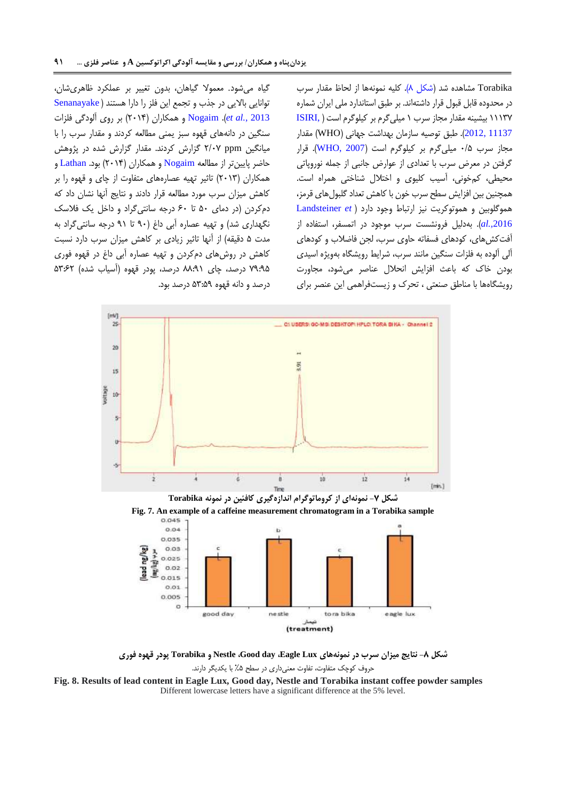Torabika مشاهده شد (شکل ۸). کلیه نمونهها از لحاظ مقدار سرب در محدوده قابل قبول قرار داشتهاند. بر طبق استاندارد ملی ایران شماره 00007 بیشینه مقدار مجاز سرب 0 میلیگرم بر کیلوگرم است ) [,ISIRI](#page-12-3) [11137 2012,](#page-12-3)(. طبق توصیه سازمان بهداشت جهانی )WHO )مقدار مجاز سرب 1/8 میلی گرم بر کیلوگرم است (WHO, 2007). قرار گرفتن در معرض سرب با تعدادي از عوارض جانبی از جمله نوروپاتی محیطی، کمخونی، آسیب کلیوي و اختالل شناختی همراه است. همچنین بین افزایش سطح سرب خون با کاهش تعداد گلبولهاي قرمز، هموگلوبین و هموتوکریت نیز ارتباط وجود دارد [\)](#page-12-11) *et* [Landsteiner](#page-12-11) *.,*[2016](#page-12-11)*al*). بهدلیل فرونشست سرب موجود در اتمسفر، استفاده از آفتکشهاي، کودهاي فسفاته حاوي سرب، لجن فاضالب و کودهاي آلی آلوده به فلزات سنگین مانند سرب، شرایط رویشگاه بهویژه اسیدي بودن خاک که باعث افزایش انحالل عناصر میشود، مجاورت رویشگاهها با مناطق صنعتی ، تحرک و زیستفراهمی این عنصر براي

گیاه میشود. معموال گیاهان، بدون تغییر بر عملکرد ظاهريشان، توانایی باالیی در جذب و تجمع این فلز را دارا هستند ) [Senanayake](#page-13-17) 2013 *[.,al et](#page-13-17)*). [Nogaim](#page-13-18) و همکاران )7104( بر روي آلودگی فلزات سنگین در دانههاي قهوه سبز یمنی مطالعه کردند و مقدار سرب را با میانگین ppm 7/17 گزارش کردند. مقدار گزارش شده در پژوهش حاضر پایینتر از مطالعه [Nogaim](#page-13-18) و همکاران )7104( بود. [Lathan](#page-13-19) و همکاران )7100( تاثیر تهیه عصارههاي متفاوت از چاي و قهوه را بر کاهش میزان سرب مورد مطالعه قرار دادند و نتایج آنها نشان داد که دمکردن )در دماي 51 تا 61 درجه سانتیگراد و داخل یک فالسک نگهداری شد) و تهیه عصاره آبی داغ (۹۰ تا ۹۱ درجه سانتی گراد به مدت 5 دقیقه( از آنها تاثیر زیادي بر کاهش میزان سرب دارد نسبت کاهش در روشهاي دمکردن و تهیه عصاره آبی داغ در قهوه فوري 70:05 درصد، چاي 88:00 درصد، پودر قهوه )آسیاب شده( 50:67 درصد و دانه قهوه 50:50 درصد بود.



**Fig. 7. An example of a caffeine measurement chromatogram in a Torabika sample**



<span id="page-10-0"></span>**شکل -8 نتایج میزان سرب در نمونههای Lux Eagle، day Good، Nestle و Torabika پودر قهوه فوری** حروف کوچک متفاوت، تفاوت معنیداري در سطح %5 با یکدیگر دارند.

**Fig. 8. Results of lead content in Eagle Lux, Good day, Nestle and Torabika instant coffee powder samples** Different lowercase letters have a significant difference at the 5% level.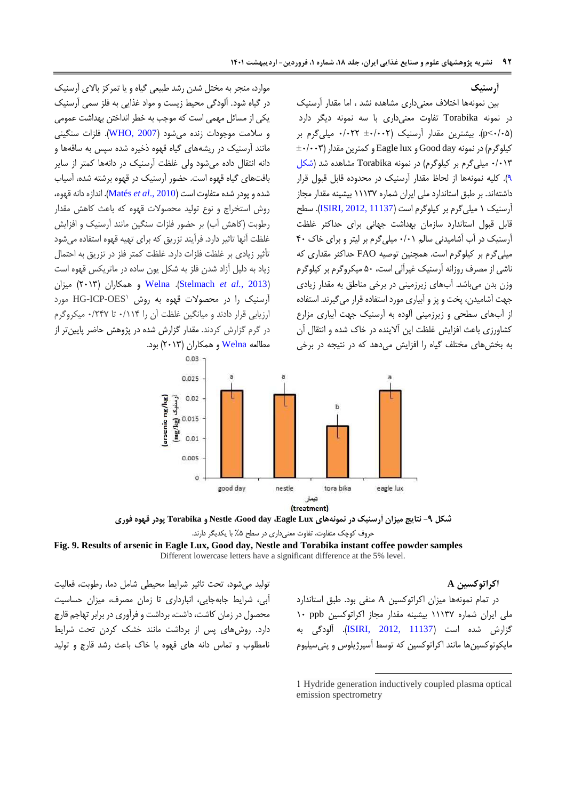#### **آرسنیک**

بین نمونهها اختالف معنیداري مشاهده نشد ، اما مقدار آرسنیک در نمونه Torabika تفاوت معنیداري با سه نمونه دیگر دارد )1/15<p). بیشترین مقدار آرسنیک )±1/117 1/177 میلیگرم بر  $\pm$ ۰/۰۰۳) کیلوگرم) در نمونه Good day و Eagle lux و  $\pm$ 1/۰۰۳ 1/100 میلیگرم بر کیلوگرم( در نمونه Torabika مشاهده شد [\)شکل](#page-11-0)  [0\(](#page-11-0). کلیه نمونهها از لحاظ مقدار آرسنیک در محدوده قابل قبول قرار داشتهاند. بر طبق استاندارد ملی ایران شماره 00007 بیشینه مقدار مجاز آرسنیک 0 میلیگرم بر کیلوگرم است )[11137 2012, ,ISIRI](#page-12-3)). سطح قابل قبول استاندارد سازمان بهداشت جهانی براي حداکثر غلظت آرسنیک در آب آشامیدنی سالم 1/10 میلیگرم بر لیتر و براي خاک 41 میلیگرم بر کیلوگرم است. همچنین توصیه FAO حداکثر مقداري که ناشی از مصرف روزانه آرسنیک غیرآلی است، 51 میکروگرم بر کیلوگرم وزن بدن میباشد. آبهاي زیرزمینی در برخی مناطق به مقدار زیادي جهت آشامیدن، پخت و پز و آبیاري مورد استفاده قرار میگیرند. استفاده از آبهاي سطحی و زیرزمینی آلوده به آرسنیک جهت آبیاري مزارع کشاورزي باعث افزایش غلظت این آالینده در خاک شده و انتقال آن به بخشهاي مختلف گیاه را افزایش میدهد که در نتیجه در برخی

موارد، منجر به مختل شدن رشد طبیعی گیاه و یا تمرکز باالي آرسنیک در گیاه شود. آلودگی محیط زیست و مواد غذایی به فلز سمی آرسنیک یکی از مسائل مهمی است که موجب به خطر انداختن بهداشت عمومی و سالمت موجودات زنده میشود )[2007 ,WHO](#page-13-16)). فلزات سنگینی مانند آرسنیک در ریشههاي گیاه قهوه ذخیره شده سپس به ساقهها و دانه انتقال داده میشود ولی غلظت آرسنیک در دانهها کمتر از سایر بافتهاي گیاه قهوه است. حضور آرسنیک در قهوه برشته شده، آسیاب شده و پودر شده متفاوت است )[2010 .,](#page-13-20)*al et* Matés). اندازه دانه قهوه، روش استخراج و نوع تولید محصوالت قهوه که باعث کاهش مقدار رطوبت )کاهش آب( بر حضور فلزات سنگین مانند آرسنیک و افزایش غلظت آنها تاثیر دارد. فرآیند تزریق که براي تهیه قهوه استفاده میشود تأثیر زیادي بر غلظت فلزات دارد. غلظت کمتر فلز در تزریق به احتمال زیاد به دلیل آزاد شدن فلز به شکل یون ساده در ماتریکس قهوه است میزان( 7100 )همکاران و [Welna](#page-13-22) .)[Stelmach](#page-13-21) *et al.*, 2013( آرسنیک را در محصولات قهوه به روش HG-ICP-OES مورد ارزیابی قرار دادند و میانگین غلظت آن را 1/004 تا 1/747 میکروگرم در گرم گزارش کردند. مقدار گزارش شده در پژوهش حاضر پایینتر از مطالعه [Welna](#page-13-22) و همکاران (۲۰۱۳) بود.

0.03



**شکل -9 نتایج میزان آرسنیک در نمونههای Lux Eagle، day Good، Nestle و Torabika پودر قهوه فوری** حروف کوچک متفاوت، تفاوت معنیداري در سطح %5 با یکدیگر دارند.

#### **Fig. 9. Results of arsenic in Eagle Lux, Good day, Nestle and Torabika instant coffee powder samples** Different lowercase letters have a significant difference at the 5% level.

#### <span id="page-11-0"></span>**اکراتوکسین A**

در تمام نمونهها میزان اکراتوکسین A منفی بود. طبق استاندارد ملی ایران شماره 00007 بیشینه مقدار مجاز اکراتوکسین ppb 01 گزارش شده است (<mark>ISIRI, 2012, 11137). آل</mark>ودگ*ی* به مایکوتوکسینها مانند اکراتوکسین که توسط آسپرژیلوس و پنیسیلیوم

1

تولید میشود، تحت تاثیر شرایط محیطی شامل دما، رطوبت، فعالیت آبی، شرایط جابهجایی، انبارداري تا زمان مصرف، میزان حساسیت محصول در زمان کاشت، داشت، برداشت و فرآوري در برابر تهاجم قارچ دارد. روشهاي پس از برداشت مانند خشک کردن تحت شرایط نامطلوب و تماس دانه هاي قهوه با خاک باعث رشد قارچ و تولید

<sup>1</sup> Hydride generation inductively coupled plasma optical emission spectrometry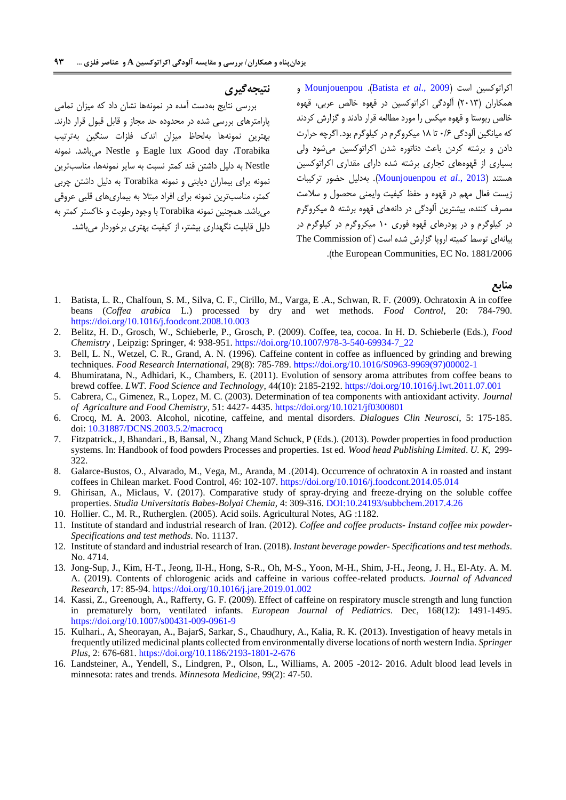### **نتیجهگیری**

بررسی نتایج بهدست آمده در نمونهها نشان داد که میزان تمامی پارامترهاي بررسی شده در محدوده حد مجاز و قابل قبول قرار دارند. بهترین نمونهها بهلحاظ میزان اندک فلزات سنگین بهترتیب نمونه .میباشد Nestle و Eagle lux ،Good day ،Torabika Nestle به دلیل داشتن قند کمتر نسبت به سایر نمونهها، مناسبترین نمونه براي بیماران دیابتی و نمونه Torabika به دلیل داشتن چربی کمتر، مناسبترین نمونه براي افراد مبتال به بیماريهاي قلبی عروقی میباشد. همچنین نمونه Torabika با وجود رطوبت و خاکستر کمتر به دلیل قابلیت نگهداري بیشتر، از کیفیت بهتري برخوردار میباشد.

 و [Mounjouenpou](#page-13-23) .)[Batista](#page-12-12) *et al*., 2009( است اکراتوکسین همکاران )7100( آلودگی اکراتوکسین در قهوه خالص عربی، قهوه خالص ربوستا و قهوه میکس را مورد مطالعه قرار دادند و گزارش کردند که میانگین آلودگی 1/6 تا 08 میکروگرم در کیلوگرم بود. اگرچه حرارت دادن و برشته کردن باعث دناتوره شدن اکراتوکسین میشود ولی بسیاري از قهوههاي تجاري برشته شده داراي مقداري اکراتوکسین هستند )2013 .,*al et* [Mounjouenpou](#page-13-23)). بهدلیل حضور ترکیبات زیست فعال مهم در قهوه و حفظ کیفیت وایمنی محصول و سالمت مصرف کننده، بیشترین آلودگی در دانههاي قهوه برشته 5 میکروگرم در کیلوگرم و در پودرهاي قهوه فوري 01 میکروگرم در کیلوگرم در بیانهای توسط کمیته اروپا گزارش شده است (The Commission of .(the European Communities, EC No. 1881/2006

#### **منابع**

- <span id="page-12-12"></span>1. Batista, L. R., Chalfoun, S. M., Silva, C. F., Cirillo, M., Varga, E .A., Schwan, R. F. (2009). Ochratoxin A in coffee beans (*Coffea arabica* L.) processed by dry and wet methods. *Food Control*, 20: 784-790. <https://doi.org/10.1016/j.foodcont.2008.10.003>
- <span id="page-12-6"></span>2. Belitz, H. D., Grosch, W., Schieberle, P., Grosch, P. (2009). Coffee, tea, cocoa. In H. D. Schieberle (Eds.), *Food Chemistry* , Leipzig: Springer, 4: 938-95[1.](https://doi.org/10.1007/978-3-540-69934-7_22) [https://doi.org/10.1007/978-3-540-69934-7\\_22](https://doi.org/10.1007/978-3-540-69934-7_22)
- <span id="page-12-9"></span>3. Bell, L. N., Wetzel, C. R., Grand, A. N. (1996). Caffeine content in coffee as influenced by grinding and brewing techniques. *Food Research International,* 29(8): 785-789. [https://doi.org/10.1016/S0963-9969\(97\)00002-1](https://doi.org/10.1016/S0963-9969(97)00002-1)
- <span id="page-12-0"></span>4. Bhumiratana, N., Adhidari, K., Chambers, E. (2011). Evolution of sensory aroma attributes from coffee beans to brewd coffee. *LWT*. *Food Science and Technology*, 44(10): 2185-2192. <https://doi.org/10.1016/j.lwt.2011.07.001>
- <span id="page-12-10"></span>5. Cabrera, C., Gimenez, R., Lopez, M. C. (2003). Determination of tea components with antioxidant activity. *Journal of Agricalture and Food Chemistry*, 51: 4427- 4435. <https://doi.org/10.1021/jf0300801>
- <span id="page-12-8"></span>6. Crocq, M. A. 2003. Alcohol, nicotine, caffeine, and mental disorders*. Dialogues Clin Neurosci*, 5: 175-185. doi: [10.31887/DCNS.2003.5.2/macrocq](https://dx.doi.org/10.31887%2FDCNS.2003.5.2%2Fmacrocq)
- <span id="page-12-7"></span>7. Fitzpatrick., J, Bhandari., B, Bansal, N., Zhang Mand Schuck, P (Eds.). (2013). Powder properties in food production systems. In: Handbook of food powders Processes and properties. 1st ed. *Wood head Publishing Limited*. *U. K*, 299- 322.
- <span id="page-12-4"></span>8. [Galarce-Bustos,](https://www.sciencedirect.com/science/article/abs/pii/S0956713514002606?via%3Dihub#!) O., Alvarado, M., Vega, M., Aranda, M .(2014). Occurrence of ochratoxin A in roasted and instant coffees in Chilean market. Food Control, 46: 102-107. <https://doi.org/10.1016/j.foodcont.2014.05.014>
- <span id="page-12-1"></span>9. Ghirisan, A., Miclaus, V. (2017). Comparative study of spray-drying and freeze-drying on the soluble coffee properties. *Studia Universitatis Babes-Bolyai Chemia*, 4: 309-316. [DOI:10.24193/subbchem.2017.4.26](doi:10.24193/subbchem.2017.4.26)
- <span id="page-12-5"></span>10. Hollier. C., M. R., Rutherglen. (2005). Acid soils. Agricultural Notes, AG :1182.
- <span id="page-12-3"></span>11. Institute of standard and industrial research of Iran. (2012). *Coffee and coffee products- Instand coffee mix powder-Specifications and test methods*. No. 11137.
- 12. Institute of standard and industrial research of Iran. (2018). *Instant beverage powder- Specifications and test methods*. No. 4714.
- 13. Jong-Sup, J., Kim, H-T., Jeong, Il-H., Hong, S-R., Oh, M-S., Yoon, M-H., Shim, J-H., Jeong, J. H., El-Aty. A. M. A. (2019). Contents of chlorogenic acids and caffeine in various coffee-related products. *Journal of Advanced Research*, 17: 85-94. <https://doi.org/10.1016/j.jare.2019.01.002>
- 14. Kassi, Z., Greenough, A., Rafferty, G. F. (2009). Effect of caffeine on respiratory muscle strength and lung function in prematurely born, ventilated infants. *European Journal of Pediatrics*. Dec, 168(12): 1491-1495. <https://doi.org/10.1007/s00431-009-0961-9>
- <span id="page-12-2"></span>15. Kulhari., A, Sheorayan, A., BajarS, Sarkar, S., Chaudhury, A., Kalia, R. K. (2013). Investigation of heavy metals in frequently utilized medicinal plants collected from environmentally diverse locations of north western India. *Springer Plus*, 2: 676-681. <https://doi.org/10.1186/2193-1801-2-676>
- <span id="page-12-11"></span>16. Landsteiner, A., Yendell, S., Lindgren, P., Olson, L., Williams, A. 2005 -2012- 2016. Adult blood lead levels in minnesota: rates and trends. *Minnesota Medicine*, 99(2): 47-50.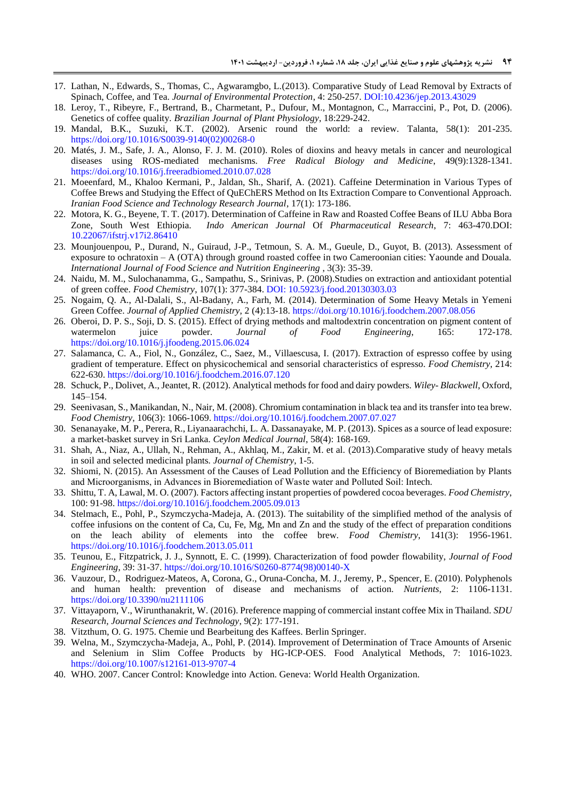- <span id="page-13-19"></span>17. Lathan, N., Edwards, S., Thomas, C., Agwaramgbo, L.(2013). Comparative Study of Lead Removal by Extracts of Spinach, Coffee, and Tea. *Journal of Environmental Protection*, 4: 250-257. [DOI:10.4236/jep.2013.43029](http://www.scirp.org/journal/PaperInformation.aspx?PaperID=28648)
- <span id="page-13-8"></span>18. Leroy, T., Ribeyre, F., Bertrand, B., Charmetant, P., Dufour, M., Montagnon, C., Marraccini, P., Pot, D. (2006). Genetics of coffee quality*. Brazilian Journal of Plant Physiology*, 18:229-242.
- <span id="page-13-2"></span>19. Mandal, B.K., Suzuki, K.T. (2002). Arsenic round the world: a review. Talanta, 58(1): 201-235. [https://doi.org/10.1016/S0039-9140\(02\)00268-0](https://doi.org/10.1016/S0039-9140(02)00268-0)
- <span id="page-13-20"></span>20. Matés, J. M., Safe, J. A., Alonso, F. J. M. (2010). Roles of dioxins and heavy metals in cancer and neurological diseases using ROS-mediated mechanisms. *Free Radical Biology and Medicine*, 49(9):1328-1341. <https://doi.org/10.1016/j.freeradbiomed.2010.07.028>
- <span id="page-13-4"></span>21. Moeenfard, M., Khaloo Kermani, P., Jaldan, Sh., Sharif, A. (2021). Caffeine Determination in Various Types of Coffee Brews and Studying the Effect of QuEChERS Method on Its Extraction Compare to Conventional Approach. *Iranian Food Science and Technology Research Journal*, 17(1): 173-186.
- <span id="page-13-15"></span>22. Motora, K. G., Beyene, T. T. (2017). Determination of Caffeine in Raw and Roasted Coffee Beans of ILU Abba Bora Zone, South West Ethiopia. *Indo American Journal* Of *Pharmaceutical Research*, 7: 463-470.DOI: [10.22067/ifstrj.v17i2.86410](https://dx.doi.org/10.22067/ifstrj.v17i2.86410)
- <span id="page-13-23"></span>23. Mounjouenpou, P., Durand, N., Guiraud, J-P., Tetmoun, S. A. M., Gueule, D., Guyot, B. (2013). Assessment of exposure to ochratoxin – A (OTA) through ground roasted coffee in two Cameroonian cities: Yaounde and Douala. *International Journal of Food Science and Nutrition Engineering* , 3(3): 35-39.
- <span id="page-13-0"></span>24. Naidu, M. M., Sulochanamma, G., Sampathu, S., Srinivas, P. (2008).Studies on extraction and antioxidant potential of green coffee. *Food Chemistry*, 107(1): 377-384. [DOI: 10.5923/j.food.20130303.03](doi:%2010.5923/j.food.20130303.03)
- <span id="page-13-18"></span>25. Nogaim, Q. A., Al-Dalali, S., Al-Badany, A., Farh, M. (2014). Determination of Some Heavy Metals in Yemeni Green Coffee. *Journal of Applied Chemistry*, 2 (4):13-18. <https://doi.org/10.1016/j.foodchem.2007.08.056>
- <span id="page-13-12"></span>26. Oberoi, D. P. S., Soji, D. S. (2015). Effect of drying methods and maltodextrin concentration on pigment content of watermelon juice powder. *Journal of Food Engineering*, 165: 172-178. <https://doi.org/10.1016/j.jfoodeng.2015.06.024>
- <span id="page-13-7"></span>27. Salamanca, C. A., Fiol, N., González, C., Saez, M., Villaescusa, I. (2017). Extraction of espresso coffee by using gradient of temperature. Effect on physicochemical and sensorial characteristics of espresso. *Food Chemistry*, 214: 622-630. <https://doi.org/10.1016/j.foodchem.2016.07.120>
- <span id="page-13-14"></span>28. Schuck, P., Dolivet, A., Jeantet, R. (2012). Analytical methods for food and dairy powders. *Wiley- Blackwell*, Oxford, 145–154.
- <span id="page-13-6"></span>29. Seenivasan, S., Manikandan, N., Nair, M. (2008). Chromium contamination in black tea and its transfer into tea brew. *Food Chemistry*, 106(3): 1066-1069. <https://doi.org/10.1016/j.foodchem.2007.07.027>
- <span id="page-13-17"></span>30. Senanayake, M. P., Perera, R., Liyanaarachchi, L. A. Dassanayake, M. P. (2013). Spices as a source of lead exposure: a market-basket survey in Sri Lanka. *Ceylon Medical Journal*, 58(4): 168-169.
- <span id="page-13-5"></span>31. Shah, A., Niaz, A., Ullah, N., Rehman, A., Akhlaq, M., Zakir, M. et al. (2013).Comparative study of heavy metals in soil and selected medicinal plants*. Journal of Chemistry*, 1-5.
- <span id="page-13-3"></span>32. Shiomi, N. (2015). An Assessment of the Causes of Lead Pollution and the Efficiency of Bioremediation by Plants and Microorganisms, in Advances in Bioremediation of Waste water and Polluted Soil: Intech.
- <span id="page-13-11"></span>33. Shittu, T. A, Lawal, M. O. (2007). Factors affecting instant properties of powdered cocoa beverages. *Food Chemistry*, 100: 91-98.<https://doi.org/10.1016/j.foodchem.2005.09.013>
- <span id="page-13-21"></span>34. Stelmach, E., Pohl, P., Szymczycha-Madeja, A. (2013). The suitability of the simplified method of the analysis of coffee infusions on the content of Ca, Cu, Fe, Mg, Mn and Zn and the study of the effect of preparation conditions on the leach ability of elements into the coffee brew. *Food Chemistry*, 141(3): 1956-1961. <https://doi.org/10.1016/j.foodchem.2013.05.011>
- <span id="page-13-10"></span>35. Teunou, E., Fitzpatrick, J. J., Synnott, E. C. (1999). Characterization of food powder flowability, *Journal of Food Engineering*, 39: 31-37. [https://doi.org/10.1016/S0260-8774\(98\)00140-X](https://doi.org/10.1016/S0260-8774(98)00140-X)
- <span id="page-13-13"></span>36. [Vauzour,](https://pubmed.ncbi.nlm.nih.gov/?term=Vauzour+D&cauthor_id=22254000) D., [Rodriguez-Mateos,](https://pubmed.ncbi.nlm.nih.gov/?term=Rodriguez-Mateos+A&cauthor_id=22254000) A, [Corona,](https://pubmed.ncbi.nlm.nih.gov/?term=Corona+G&cauthor_id=22254000) G., [Oruna-Concha,](https://pubmed.ncbi.nlm.nih.gov/?term=Oruna-Concha+MJ&cauthor_id=22254000) M. J., [Jeremy, P., Spencer,](https://pubmed.ncbi.nlm.nih.gov/?term=Spencer+JP&cauthor_id=22254000) E. (2010). Polyphenols and human health: prevention of disease and mechanisms of action. *Nutrients*, 2: 1106-1131. <https://doi.org/10.3390/nu2111106>
- <span id="page-13-1"></span>37. Vittayaporn, V., Wirunthanakrit, W. (2016). Preference mapping of commercial instant coffee Mix in Thailand. *SDU Research, Journal Sciences and Technology*, 9(2): 177-191.
- <span id="page-13-9"></span>38. Vitzthum, O. G. 1975. Chemie und Bearbeitung des Kaffees. Berlin Springer.
- <span id="page-13-22"></span>39. [Welna,](javascript:;) M., Szymczycha-Madeja, A., Pohl, P. (2014). Improvement of Determination of Trace Amounts of Arsenic and Selenium in Slim Coffee Products by HG-ICP-OES. [Food Analytical Methods,](https://link.springer.com/journal/12161) 7: 1016-1023. <https://doi.org/10.1007/s12161-013-9707-4>
- <span id="page-13-16"></span>40. WHO. 2007. Cancer Control: Knowledge into Action. Geneva: World Health Organization.